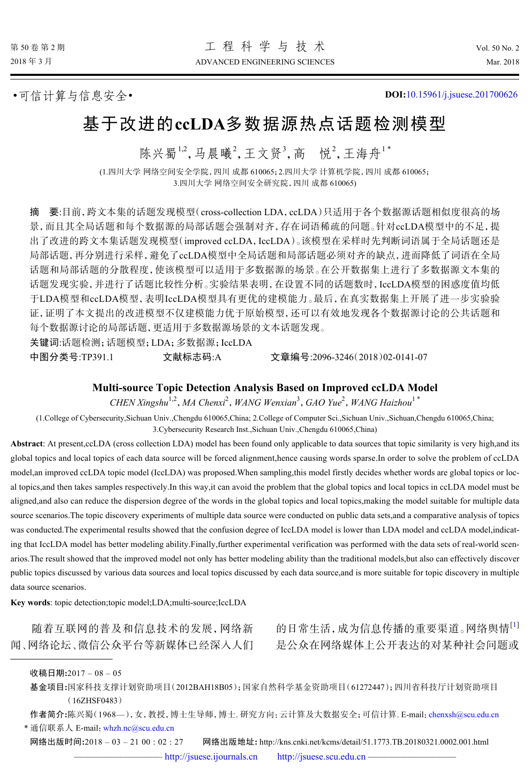•可信计算与信息安全• **DOI:**[10.15961/j.jsuese.201700626](http://dx.doi.org/10.15961/j.jsuese.201700626)

# 基于改进的**ccLDA**多数据源热点话题检测模型

陈兴蜀<sup>1,2</sup>,马晨曦<sup>2</sup>,王文贤<sup>3</sup>,高 悦<sup>2</sup>,王海舟<sup>1\*</sup>

(1.四川大学 网络空间安全学院,四川 成都 610065;2.四川大学 计算机学院,四川 成都 610065; 3.四川大学 网络空间安全研究院,四川 成都 610065)

摘 要:目前,跨文本集的话题发现模型(cross-collection LDA,ccLDA)只适用于各个数据源话题相似度很高的场 景,而且其全局话题和每个数据源的局部话题会强制对齐,存在词语稀疏的问题。针对ccLDA模型中的不足,提 出了改进的跨文本集话题发现模型(improved ccLDA,IccLDA)。该模型在采样时先判断词语属于全局话题还是 局部话题,再分别进行采样,避免了ccLDA模型中全局话题和局部话题必须对齐的缺点,进而降低了词语在全局 话题和局部话题的分散程度,使该模型可以适用于多数据源的场景。在公开数据集上进行了多数据源文本集的 话题发现实验,并进行了话题比较性分析。实验结果表明,在设置不同的话题数时,IccLDA模型的困惑度值均低 于LDA模型和ccLDA模型,表明IccLDA模型具有更优的建模能力。最后,在真实数据集上开展了进一步实验验 证,证明了本文提出的改进模型不仅建模能力优于原始模型,还可以有效地发现各个数据源讨论的公共话题和 每个数据源讨论的局部话题,更适用于多数据源场景的文本话题发现。

关键词:话题检测;话题模型;LDA;多数据源;IccLDA

中图分类号:TP391.1 文献标志码:A 文章编号:2096-3246(2018)02-0141-07

# **Multi-source Topic Detection Analysis Based on Improved ccLDA Model**

*CHEN Xingshu*1,2 ,*MA Chenxi*<sup>2</sup> ,*WANG Wenxian*<sup>3</sup> ,*GAO Yue*<sup>2</sup> ,*WANG Haizhou*<sup>1</sup> \*

(1.College of Cybersecurity,Sichuan Univ.,Chengdu 610065,China; 2.College of Computer Sci.,Sichuan Univ.,Sichuan,Chengdu 610065,China; 3.Cybersecurity Research Inst.,Sichuan Univ.,Chengdu 610065,China)

**Abstract**: At present,ccLDA (cross collection LDA) model has been found only applicable to data sources that topic similarity is very high,and its global topics and local topics of each data source will be forced alignment,hence causing words sparse.In order to solve the problem of ccLDA model,an improved ccLDA topic model (IccLDA) was proposed.When sampling,this model firstly decides whether words are global topics or local topics,and then takes samples respectively.In this way,it can avoid the problem that the global topics and local topics in ccLDA model must be aligned,and also can reduce the dispersion degree of the words in the global topics and local topics,making the model suitable for multiple data source scenarios.The topic discovery experiments of multiple data source were conducted on public data sets,and a comparative analysis of topics was conducted.The experimental results showed that the confusion degree of IccLDA model is lower than LDA model and ccLDA model,indicating that IccLDA model has better modeling ability.Finally,further experimental verification was performed with the data sets of real-world scenarios.The result showed that the improved model not only has better modeling ability than the traditional models,but also can effectively discover public topics discussed by various data sources and local topics discussed by each data source,and is more suitable for topic discovery in multiple data source scenarios.

**Key words**: topic detection;topic model;LDA;multi-source;IccLDA

随着互联网的普及和信息技术的发展,网络新 闻、网络论坛、微信公众平台等新媒体已经深入人们 的日常生活,成为信息传播的重要渠道。网络舆情[1] 是公众在网络媒体上公开表达的对某种社会问题或

收稿日期**:**2017 – 08 – 05

基金项目**:**国家科技支撑计划资助项目(2012BAH18B05);国家自然科学基金资助项目(61272447);四川省科技厅计划资助项目 (16ZHSF0483)

作者简介**:**陈兴蜀(1968—),女,教授,博士生导师,博士. 研究方向:云计算及大数据安全;可信计算. E-mail:[chenxsh@scu.edu.cn](mailto:chenxsh@scu.edu.cn) \* 通信联系人 E-mail: [whzh.nc@scu.edu.cn](mailto:whzh.nc@scu.edu.cn)

网络出版时间**:**2018 – 03 – 21 00 : 02 : 27 网络出版地址**:** http://kns.cnki.net/kcms/detail/51.1773.TB.20180321.0002.001.html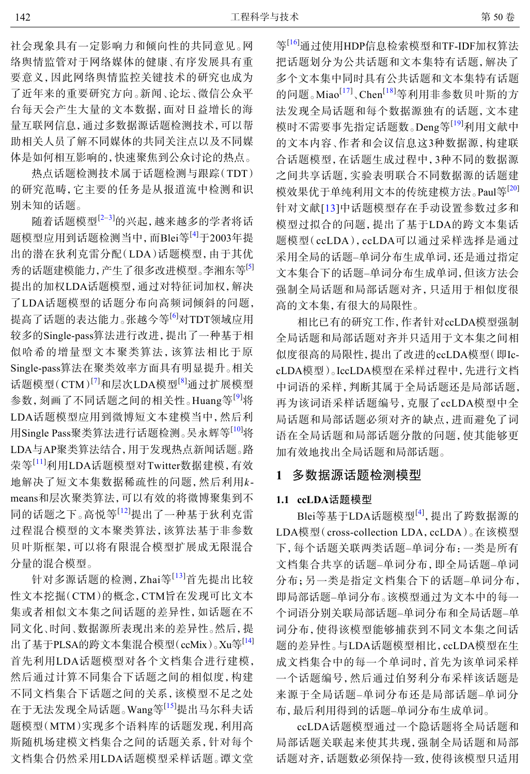社会现象具有一定影响力和倾向性的共同意见。网 络舆情监管对于网络媒体的健康、有序发展具有重 要意义,因此网络舆情监控关键技术的研究也成为 了近年来的重要研究方向。新闻、论坛、微信公众平 台每天会产生大量的文本数据,面对日益增长的海 量互联网信息,通过多数据源话题检测技术,可以帮 助相关人员了解不同媒体的共同关注点以及不同媒 体是如何相互影响的,快速聚焦到公众讨论的热点。

热点话题检测技术属于话题检测与跟踪(TDT) 的研究范畴,它主要的任务是从报道流中检测和识 别未知的话题。

地解决了短文本集数据稀疏性的问题,然后利用*k*-随着话题模型[2–3]的兴起,越来越多的学者将话 题模型应用到话题检测当中,而Blei等[4]于2003年提 出的潜在狄利克雷分配(LDA)话题模型,由于其优 秀的话题建模能力,产生了很多改进模型。李湘东等[5] 提出的加权LDA话题模型,通过对特征词加权,解决 了LDA话题模型的话题分布向高频词倾斜的问题, 提高了话题的表达能力。张越今等<sup>[6]</sup>对TDT领域应用 较多的Single-pass算法进行改进,提出了一种基于相 似哈希的增量型文本聚类算法,该算法相比于原 Single-pass算法在聚类效率方面具有明显提升。相关 话题模型(CTM)<sup>[7]</sup>和层次LDA模型<sup>[8]</sup>通过扩展模型 参数,刻画了不同话题之间的相关性。Huang等<sup>[9]</sup>将 LDA话题模型应用到微博短文本建模当中,然后利 用Single Pass聚类算法进行话题检测。吴永辉等<sup>[10]</sup>将 LDA与AP聚类算法结合,用于发现热点新闻话题。路 荣等[11]利用LDA话题模型对Twitter数据建模,有效 means和层次聚类算法,可以有效的将微博聚集到不 同的话题之下。高悦等[12]提出了一种基于狄利克雷 过程混合模型的文本聚类算法,该算法基于非参数 贝叶斯框架,可以将有限混合模型扩展成无限混合 分量的混合模型。

针对多源话题的检测,Zhai等[13]首先提出比较 性文本挖掘(CTM)的概念,CTM旨在发现可比文本 集或者相似文本集之间话题的差异性,如话题在不 同文化、时间、数据源所表现出来的差异性。然后,提 出了基于PLSA的跨文本集混合模型(ccMix)。Xu等[14] 首先利用LDA话题模型对各个文档集合进行建模, 然后通过计算不同集合下话题之间的相似度,构建 不同文档集合下话题之间的关系,该模型不足之处 在于无法发现全局话题。Wang等[15]提出马尔科夫话 题模型(MTM)实现多个语料库的话题发现,利用高 斯随机场建模文档集合之间的话题关系,针对每个 文档集合仍然采用LDA话题模型采样话题。谭文堂

等[16]通过使用HDP信息检索模型和TF-IDF加权算法 把话题划分为公共话题和文本集特有话题,解决了 多个文本集中同时具有公共话题和文本集特有话题 的问题。Miao<sup>[17]</sup>、Chen<sup>[18]</sup>等利用非参数贝叶斯的方 法发现全局话题和每个数据源独有的话题,文本建 模时不需要事先指定话题数。Deng等<sup>[19]</sup>利用文献中 的文本内容、作者和会议信息这3种数据源,构建联 合话题模型,在话题生成过程中,3种不同的数据源 之间共享话题,实验表明联合不同数据源的话题建 模效果优于单纯利用文本的传统建模方法。Paul等<sup>[20]</sup> 针对文献[13]中话题模型存在手动设置参数过多和 模型过拟合的问题,提出了基于LDA的跨文本集话 题模型(ccLDA),ccLDA可以通过采样选择是通过 采用全局的话题–单词分布生成单词,还是通过指定 文本集合下的话题–单词分布生成单词,但该方法会 强制全局话题和局部话题对齐,只适用于相似度很 高的文本集,有很大的局限性。

相比已有的研究工作,作者针对ccLDA模型强制 全局话题和局部话题对齐并只适用于文本集之间相 似度很高的局限性,提出了改进的ccLDA模型(即IccLDA模型)。IccLDA模型在采样过程中,先进行文档 中词语的采样,判断其属于全局话题还是局部话题, 再为该词语采样话题编号,克服了ccLDA模型中全 局话题和局部话题必须对齐的缺点,进而避免了词 语在全局话题和局部话题分散的问题,使其能够更 加有效地找出全局话题和局部话题。

# **1** 多数据源话题检测模型

#### **1.1 ccLDA**话题模型

Blei等基于LDA话题模型<sup>[4]</sup>, 提出了跨数据源的 LDA模型(cross-collection LDA, ccLDA)。在该模型 下,每个话题关联两类话题–单词分布:一类是所有 文档集合共享的话题–单词分布,即全局话题–单词 分布;另一类是指定文档集合下的话题–单词分布, 即局部话题–单词分布。该模型通过为文本中的每一 个词语分别关联局部话题–单词分布和全局话题–单 词分布,使得该模型能够捕获到不同文本集之间话 题的差异性。与LDA话题模型相比,ccLDA模型在生 成文档集合中的每一个单词时,首先为该单词采样 一个话题编号,然后通过伯努利分布采样该话题是 来源于全局话题–单词分布还是局部话题–单词分 布,最后利用得到的话题–单词分布生成单词。

ccLDA话题模型通过一个隐话题将全局话题和 局部话题关联起来使其共现,强制全局话题和局部 话题对齐,话题数必须保持一致,使得该模型只适用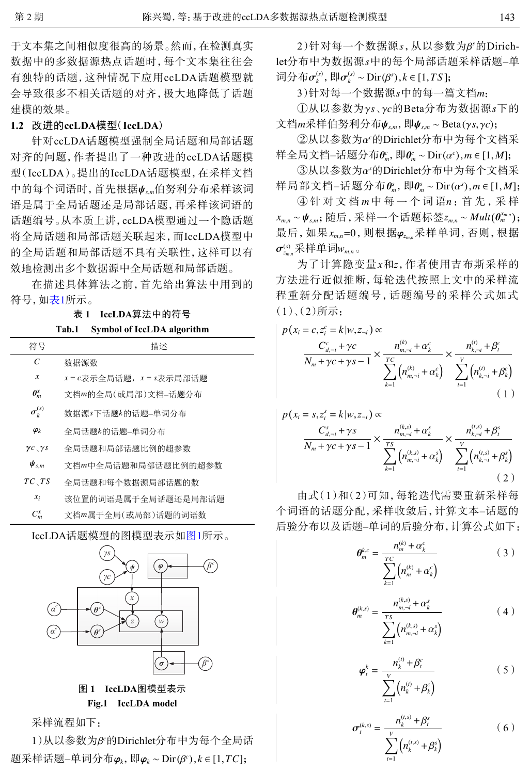于文本集之间相似度很高的场景。然而,在检测真实 数据中的多数据源热点话题时,每个文本集往往会 有独特的话题,这种情况下应用ccLDA话题模型就 会导致很多不相关话题的对齐,极大地降低了话题 建模的效果。

# **1.2** 改进的**ccLDA**模型(**IccLDA**)

中的每个词语时,首先根据ψ<sub>sm</sub>伯努利分布采样该词 针对ccLDA话题模型强制全局话题和局部话题 对齐的问题,作者提出了一种改进的ccLDA话题模 型(IccLDA)。提出的IccLDA话题模型,在采样文档 语是属于全局话题还是局部话题,再采样该词语的 话题编号。从本质上讲,ccLDA模型通过一个隐话题 将全局话题和局部话题关联起来,而IccLDA模型中 的全局话题和局部话题不具有关联性,这样可以有 效地检测出多个数据源中全局话题和局部话题。

在描述具体算法之前,首先给出算法中用到的 符号,如表1所示。

# 表 **1 IccLDA**算法中的符号

# **Tab.1 Symbol of IccLDA algorithm**

| 符号                                 | 描述                                 |
|------------------------------------|------------------------------------|
| C                                  | 数据源数                               |
| $\boldsymbol{x}$                   | $x$ = $c$ 表示全局话题, $x$ = $s$ 表示局部话题 |
| $\boldsymbol{\theta}_m^{\text{x}}$ | 文档m的全局(或局部)文档-话题分布                 |
| $\sigma_k^{(s)}$                   | 数据源s下话题k的话题=单词分布                   |
| $\boldsymbol{\varphi}_k$           | 全局话题k的话题=单词分布                      |
| $\gamma c \sqrt{S}$                | 全局话题和局部话题比例的超参数                    |
| $\boldsymbol{\psi}_{s,m}$          | 文档m中全局话题和局部话题比例的超参数                |
| TC, TS                             | 全局话题和每个数据源局部话题的数                   |
| $x_i$                              | 该位置的词语是属于全局话题还是局部话题                |
| $C_m^x$                            | 文档m属于全局(或局部)话题的词语数                 |

<span id="page-2-0"></span>IccLDA话题模型的图模型表示如[图](#page-2-0)[1](#page-2-0)所示。



**Fig.1 IccLDA model**

采样流程如下:

1)从以参数为β<sup>c</sup>的Dirichlet分布中为每个全局话 题采样话题–单词分布φ,,即φk~Dir(β°),k∈[1,TC];

2)针对每一个数据源 *s*,从以参数为β<sup>,</sup>的Dirichlet分布中为数据源s中的每个局部话题采样话题–单  $\overline{\text{π}}$   $\overline{\text{π}}$   $\overline{\text{σ}}$ <sup>(s)</sup>,  $\overline{\text{π}}$   $\overline{\text{C}}$ <sup>(s)</sup>  $\overline{\text{C}}$   $\overline{\text{C}}$   $\overline{\text{C}}$   $\overline{\text{C}}$   $\overline{\text{C}}$   $\overline{\text{C}}$   $\overline{\text{C}}$   $\overline{\text{C}}$   $\overline{\text{C}}$   $\overline{\text{C}}$   $\overline{\text{C}}$   $\overline{\text{C}}$   $\overline{\text{C}}$   $\overline{\text{C}}$ 

3)针对每一个数据源*s*中的每一篇文档*m*:

①从以参数为γs、γc的Beta分布为数据源s下的 文档m采样伯努利分布ψ<sub>s,m</sub>, 即ψ<sub>s,m</sub> ~ Beta(γ*s*,γ*c*);

 $(2)$ 从以参数为 $\alpha$ °的Dirichlet分布中为每个文档采 样全局文档–话题分布 $\theta^c_m$ ,即 $\theta^c_m$  ∼ Dir( $\alpha^c$ )*,m* ∈ [1,*M*];

 $@$ 从以参数为 $\alpha$ <sup>,</sup>的Dirichlet分布中为每个文档采 样局部文档−话题分布 $\theta_n^s$ ,即 $\theta_n^s$ ∼Dir(α<sup>s</sup>),m∈[1,M];

④针 对 文 档 m 中 每 一 个 词 语n : 首 先 , 采 样  $x_{m,n}$ ~ $\boldsymbol{\psi}_{s,m}$ ; 随后, 采样一个话题标签 $z_{m,n}$ ~*Mult*( $\boldsymbol{\theta}_{m}^{x_{m,n}}$ ); *xm*,*n*=0 φ*<sup>z</sup>m*,*<sup>n</sup>* 最后,如果 ,则根据 采样单词,否则,根据  $\sigma^{\scriptscriptstyle (s)}_{\scriptscriptstyle \!z_{m,n}}$ 采样单词 $w_{\scriptscriptstyle m,n}$ 。

为了计算隐变量*x*和*z*,作者使用吉布斯采样的 方法进行近似推断,每轮迭代按照上文中的采样流 程重新分配话题编号,话题编号的采样公式如式 (1)、(2)所示:

$$
p(x_i = c, z_i^c = k | w, z_{\neg i}) \propto
$$
  

$$
\frac{C_{d,\neg i}^c + \gamma c}{N_m + \gamma c + \gamma s - 1} \times \frac{n_{m,\neg i}^{(k)} + \alpha_k^c}{\sum_{k=1}^{T C} (n_{m,\neg i}^{(k)} + \alpha_k^c)} \times \frac{n_{k,\neg i}^{(t)} + \beta_t^c}{\sum_{t=1}^{V} (n_{k,\neg i}^{(t)} + \beta_k^c)}
$$
  
(1)

$$
p(x_i = s, z_i^s = k | w, z_{-i}) \propto
$$
  
\n
$$
\frac{C_{d,-i}^s + \gamma s}{N_m + \gamma c + \gamma s - 1} \times \frac{n_{m,-i}^{(k,s)} + \alpha_k^s}{\sum_{k=1}^{TS} (n_{m,-i}^{(k,s)} + \alpha_k^s)} \times \frac{n_{k,-i}^{(t,s)} + \beta_i^s}{\sum_{t=1}^{V} (n_{k,-i}^{(t,s)} + \beta_k^s)}
$$
  
\n(2)

由式(1)和(2)可知,每轮迭代需要重新采样每 个词语的话题分配,采样收敛后,计算文本–话题的 后验分布以及话题–单词的后验分布,计算公式如下:

$$
\theta_{m}^{k,c} = \frac{n_{m}^{(k)} + \alpha_{k}^{c}}{\sum_{k=1}^{TC} (n_{m}^{(k)} + \alpha_{k}^{c})}
$$
 (3)

$$
\theta_{m}^{(k,s)} = \frac{n_{m,-i}^{(k,s)} + \alpha_{k}^{s}}{\sum_{k=1}^{TS} (n_{m,-i}^{(k,s)} + \alpha_{k}^{s})}
$$
(4)

$$
\varphi_t^k = \frac{n_k^{(t)} + \beta_t^c}{\sum_{t=1}^V \left(n_k^{(t)} + \beta_k^c\right)}
$$
\n(5)

$$
\sigma_t^{(k,s)} = \frac{n_k^{(t,s)} + \beta_t^s}{\sum_{t=1}^V (n_k^{(t,s)} + \beta_k^s)}
$$
 (6)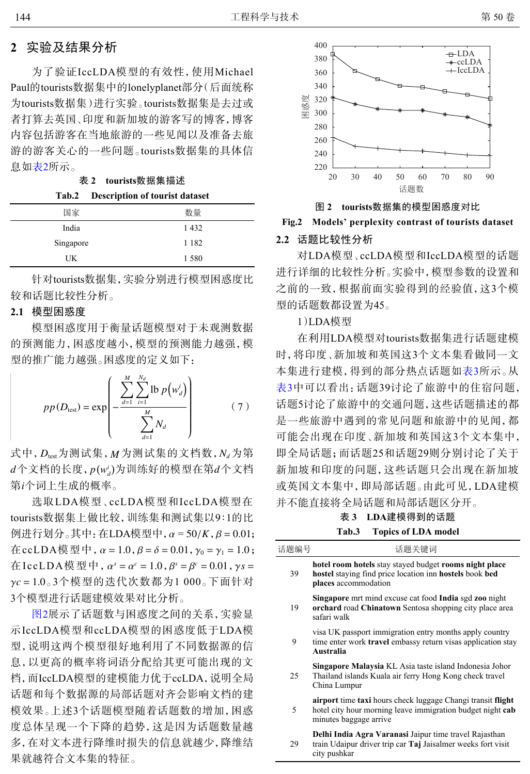# **2** 实验及结果分析

为了验证IccLDA模型的有效性,使用Michael Paul的tourists数据集中的lonelyplanet部分(后面统称 为tourists数据集)进行实验。tourists数据集是去过或 者打算去英国、印度和新加坡的游客写的博客,博客 内容包括游客在当地旅游的一些见闻以及准备去旅 游的游客关心的一些问题。tourists数据集的具体信 息如表2所示。

表 **2 tourists**数据集描述

| Tab.2     | <b>Description of tourist dataset</b> |
|-----------|---------------------------------------|
| 国家        | 数量                                    |
| India     | 1432                                  |
| Singapore | 1 1 8 2                               |
| UK        | 1580                                  |

针对tourists数据集,实验分别进行模型困惑度比 较和话题比较性分析。

# **2.1** 模型困惑度

模型困惑度用于衡量话题模型对于未观测数据 的预测能力,困惑度越小,模型的预测能力越强,模 型的推广能力越强。困惑度的定义如下:

$$
pp(D_{\text{test}}) = \exp\left(-\frac{\sum_{d=1}^{M} \sum_{i=1}^{N_d} \text{lb } p(w_d^i)}{\sum_{d=1}^{M} N_d}\right) \tag{7}
$$

式中,  $D_{\text{test}}$ 为测试集,  $M$ 为测试集的文档数,  $N_d$ 为第  $d$ 个文档的长度,  $p(w_d^j)$ 为训练好的模型在第 $d$ 个文档 *i* 第 个词上生成的概率。

 $\Theta$ 进行划分。其中: 在LDA模型中,  $\alpha$  = 50/*K* ,  $\beta$  = 0.01; 在 c c L D A 模 型 中 ,  $\alpha = 1.0$  ,  $\beta = \delta = 0.01$  ,  $\gamma_0 = \gamma_1 = 1.0$  ; 在 IccLDA 模 型 中 ,  $\alpha^s$  =  $\alpha^c$  = 1.0 ,  $\beta^s$  =  $\beta^c$  = 0.01 , γ s = γ*c* = 1.0 。3个模型的迭代次数都为1 000。下面针对 选取LDA模型、ccLDA模型和IccLDA模型在 tourists数据集上做比较,训练集和测试集以9∶1的比 3个模型进行话题建模效果对比分析。

[图](#page-3-0)[2](#page-3-0)展示了话题数与困惑度之间的关系,实验显 示IccLDA模型和ccLDA模型的困惑度低于LDA模 型,说明这两个模型很好地利用了不同数据源的信 息,以更高的概率将词语分配给其更可能出现的文 档,而IccLDA模型的建模能力优于ccLDA,说明全局 话题和每个数据源的局部话题对齐会影响文档的建 模效果。上述3个话题模型随着话题数的增加,困惑 度总体呈现一个下降的趋势,这是因为话题数量越 多,在对文本进行降维时损失的信息就越少,降维结 果就越符合文本集的特征。

<span id="page-3-0"></span>

图 **2 tourists**数据集的模型困惑度对比

# **Fig.2 Models' perplexity contrast of tourists dataset**

# **2.2** 话题比较性分析

表 **3 LDA**建模得到的话题

| Tab.3 |  | <b>Topics of LDA model</b> |  |
|-------|--|----------------------------|--|
|-------|--|----------------------------|--|

|               |                            | 20           | 30                     | 40 | 50<br>话题数                                    | 60    | 70 | 80                                                                                                                        | 90 |  |
|---------------|----------------------------|--------------|------------------------|----|----------------------------------------------|-------|----|---------------------------------------------------------------------------------------------------------------------------|----|--|
|               |                            | 图 2          |                        |    |                                              |       |    | tourists数据集的模型困惑度对比                                                                                                       |    |  |
| Fig.2         |                            |              |                        |    |                                              |       |    | Models' perplexity contrast of tourists dataset                                                                           |    |  |
| $2.2^{\circ}$ | 话题比较性分析                    |              |                        |    |                                              |       |    |                                                                                                                           |    |  |
|               | 对LDA模型、ccLDA模型和IccLDA模型的话题 |              |                        |    |                                              |       |    |                                                                                                                           |    |  |
|               | 进行详细的比较性分析。实验中,模型参数的设置和    |              |                        |    |                                              |       |    |                                                                                                                           |    |  |
|               | 之前的一致,根据前面实验得到的经验值,这3个模    |              |                        |    |                                              |       |    |                                                                                                                           |    |  |
|               | 型的话题数都设置为45。               |              |                        |    |                                              |       |    |                                                                                                                           |    |  |
|               | 1)LDA模型                    |              |                        |    |                                              |       |    |                                                                                                                           |    |  |
|               | 在利用LDA模型对tourists数据集进行话题建模 |              |                        |    |                                              |       |    |                                                                                                                           |    |  |
|               | 时,将印度、新加坡和英国这3个文本集看做同一文    |              |                        |    |                                              |       |    |                                                                                                                           |    |  |
|               | 本集进行建模,得到的部分热点话题如表3所示。从    |              |                        |    |                                              |       |    |                                                                                                                           |    |  |
|               | 表3中可以看出:话题39讨论了旅游中的住宿问题。   |              |                        |    |                                              |       |    |                                                                                                                           |    |  |
|               | 话题5讨论了旅游中的交通问题,这些话题描述的都    |              |                        |    |                                              |       |    |                                                                                                                           |    |  |
|               | 是一些旅游中遇到的常见问题和旅游中的见闻,都     |              |                        |    |                                              |       |    |                                                                                                                           |    |  |
|               | 可能会出现在印度、新加坡和英国这3个文本集中。    |              |                        |    |                                              |       |    |                                                                                                                           |    |  |
|               | 即全局话题;而话题25和话题29则分别讨论了关于   |              |                        |    |                                              |       |    |                                                                                                                           |    |  |
|               | 新加坡和印度的问题,这些话题只会出现在新加坡     |              |                        |    |                                              |       |    |                                                                                                                           |    |  |
|               | 或英国文本集中, 即局部话题。由此可见, LDA建模 |              |                        |    |                                              |       |    |                                                                                                                           |    |  |
|               | 并不能直接将全局话题和局部话题区分开。        |              |                        |    |                                              |       |    |                                                                                                                           |    |  |
|               |                            |              |                        |    | 表 3 LDA建模得到的话题<br><b>Topics of LDA model</b> |       |    |                                                                                                                           |    |  |
| 话题编号          |                            |              | Tab.3                  |    |                                              | 话题关键词 |    |                                                                                                                           |    |  |
|               |                            |              |                        |    |                                              |       |    | hotel room hotels stay stayed budget rooms night place                                                                    |    |  |
| 39            |                            |              | places accommodation   |    |                                              |       |    | hostel staying find price location inn hostels book bed                                                                   |    |  |
| 19            |                            | safari walk  |                        |    |                                              |       |    | Singapore mrt mind excuse cat food India sgd zoo night<br>orchard road Chinatown Sentosa shopping city place area         |    |  |
| 9             |                            | Australia    |                        |    |                                              |       |    | visa UK passport immigration entry months apply country<br>time enter work travel embassy return visas application stay   |    |  |
| 25            |                            | China Lumpur |                        |    |                                              |       |    | Singapore Malaysia KL Asia taste island Indonesia Johor<br>Thailand islands Kuala air ferry Hong Kong check travel        |    |  |
| 5             |                            |              | minutes baggage arrive |    |                                              |       |    | airport time taxi hours check luggage Changi transit flight<br>hotel city hour morning leave immigration budget night cab |    |  |
| 29            |                            | city pushkar |                        |    |                                              |       |    | Delhi India Agra Varanasi Jaipur time travel Rajasthan<br>train Udaipur driver trip car Taj Jaisalmer weeks fort visit    |    |  |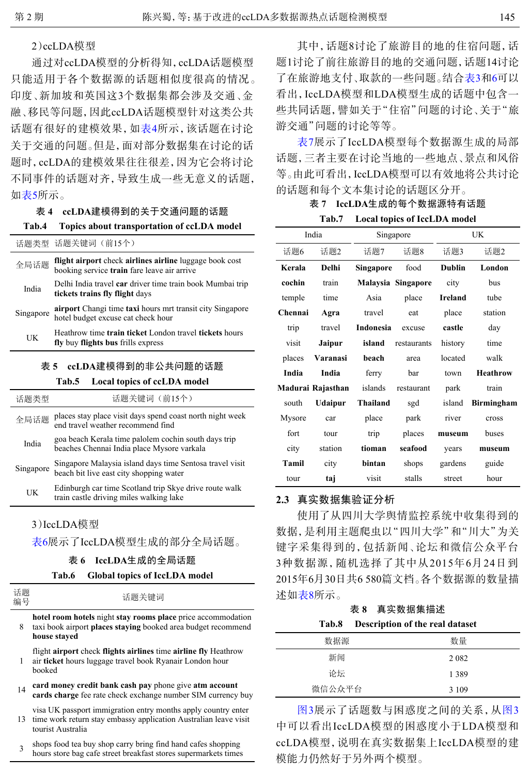# 2)ccLDA模型

通过对ccLDA模型的分析得知,ccLDA话题模型 只能适用于各个数据源的话题相似度很高的情况。 印度、新加坡和英国这3个数据集都会涉及交通、金 融、移民等问题,因此ccLDA话题模型针对这类公共 话题有很好的建模效果,如表4所示,该话题在讨论 关于交通的问题。但是,面对部分数据集在讨论的话 题时,ccLDA的建模效果往往很差,因为它会将讨论 不同事件的话题对齐,导致生成一些无意义的话题, 如表5所示。

#### 表 **4 ccLDA**建模得到的关于交通问题的话题

#### **Tab.4 Topics about transportation of ccLDA model**

|                    | 话题类型 话题关键词(前15个)                                                                                       |  |  |
|--------------------|--------------------------------------------------------------------------------------------------------|--|--|
| 全局话题               | flight airport check airlines airline luggage book cost<br>booking service train fare leave air arrive |  |  |
| India              | Delhi India travel car driver time train book Mumbai trip<br>tickets trains fly flight days            |  |  |
| Singapore          | airport Changi time taxi hours mrt transit city Singapore<br>hotel budget excuse cat check hour        |  |  |
| UK                 | Heathrow time train ticket London travel tickets hours<br>fly buy flights bus frills express           |  |  |
| ccLDA建模得到的非公共问题的话题 |                                                                                                        |  |  |

#### **Tab.5 Local topics of ccLDA model**

| 话题类型      | 话题关键词 (前15个)                                                                                        |
|-----------|-----------------------------------------------------------------------------------------------------|
| 全局话题      | places stay place visit days spend coast north night week<br>end travel weather recommend find      |
| India     | goa beach Kerala time palolem cochin south days trip<br>beaches Chennai India place Mysore varkala  |
| Singapore | Singapore Malaysia island days time Sentosa travel visit<br>beach bit live east city shopping water |
| UK        | Edinburgh car time Scotland trip Skye drive route walk<br>train castle driving miles walking lake   |
|           |                                                                                                     |

## 3)IccLDA模型

表6展示了IccLDA模型生成的部分全局话题。

#### 表 **6 IccLDA**生成的全局话题

#### **Tab.6 Global topics of IccLDA model**

8 **hotel room hotels** night **stay rooms place** price accommodation taxi book airport **places staying** booked area budget recommend **house stayed**

1 flight **airport** check **flights airlines** time **airline fly** Heathrow air **ticket** hours luggage travel book Ryanair London hour booked

- <sup>14</sup> **card money credit bank cash pay** phone give **atm account cards charge** fee rate check exchange number SIM currency buy
- 13 time work return stay embassy application Australian leave visit visa UK passport immigration entry months apply country enter tourist Australia
- 3 shops food tea buy shop carry bring find hand cafes shopping hours store bag cafe street breakfast stores supermarkets times

其中,话题8讨论了旅游目的地的住宿问题,话 题1讨论了前往旅游目的地的交通问题,话题14讨论 了在旅游地支付、取款的一些问题。结合表3和6可以 看出,IccLDA模型和LDA模型生成的话题中包含一 些共同话题,譬如关于"住宿"问题的讨论、关于"旅 游交通"问题的讨论等等。

表7展示了IccLDA模型每个数据源生成的局部 话题,三者主要在讨论当地的一些地点、景点和风俗 等。由此可看出,IccLDA模型可以有效地将公共讨论 的话题和每个文本集讨论的话题区分开。

# 表 **7 IccLDA**生成的每个数据源特有话题

**Tab.7 Local topics of IccLDA model**

| India             |                |           | Singapore          | UK            |                   |  |
|-------------------|----------------|-----------|--------------------|---------------|-------------------|--|
| 话题6               | 话题2            | 话题7       | 话题8                | 话题3           | 话题2               |  |
| Kerala            | <b>Delhi</b>   | Singapore | food               | <b>Dublin</b> | London            |  |
| cochin            | train          |           | Malaysia Singapore | city          | bus               |  |
| temple            | time           | Asia      | place              | Ireland       | tube              |  |
| Chennai           | Agra           | travel    | eat                | place         | station           |  |
| trip              | travel         | Indonesia | excuse             | castle        | day               |  |
| visit             | Jaipur         | island    | restaurants        | history       | time              |  |
| places            | Varanasi       | beach     | area               | located       | walk              |  |
| India             | India          | ferry     | bar                | town          | <b>Heathrow</b>   |  |
| Madurai Rajasthan |                |           | islands restaurant | park          | train             |  |
| south             | <b>Udaipur</b> | Thailand  | sgd                | island        | <b>Birmingham</b> |  |
| Mysore            | car            | place     | park               | river         | cross             |  |
| fort              | tour           | trip      | places             | museum        | buses             |  |
| city              | station        | tioman    | seafood            | years         | museum            |  |
| Tamil             | city           | bintan    | shops              | gardens       | guide             |  |
| tour              | taj            | visit     | stalls             | street        | hour              |  |

# **2.3** 真实数据集验证分析

使用了从四川大学舆情监控系统中收集得到的 数据,是利用主题爬虫以"四川大学"和"川大"为关 键字采集得到的,包括新闻、论坛和微信公众平台 3种数据源,随机选择了其中从2015年6月24日到 2015年6月30日共6 580篇文档。各个数据源的数量描 述如表8所示。

### 表 **8** 真实数据集描述 **Tab.8 Description of the real dataset**

| 数据源    | 数量      |
|--------|---------|
| 新闻     | 2 0 8 2 |
| 论坛     | 1389    |
| 微信公众平台 | 3 1 0 9 |

[图](#page-5-0)[3](#page-5-0)展示了话题数与困惑度之间的关系,从[图](#page-5-0)[3](#page-5-0) 中可以看出IccLDA模型的困惑度小于LDA模型和 ccLDA模型,说明在真实数据集上IccLDA模型的建 模能力仍然好于另外两个模型。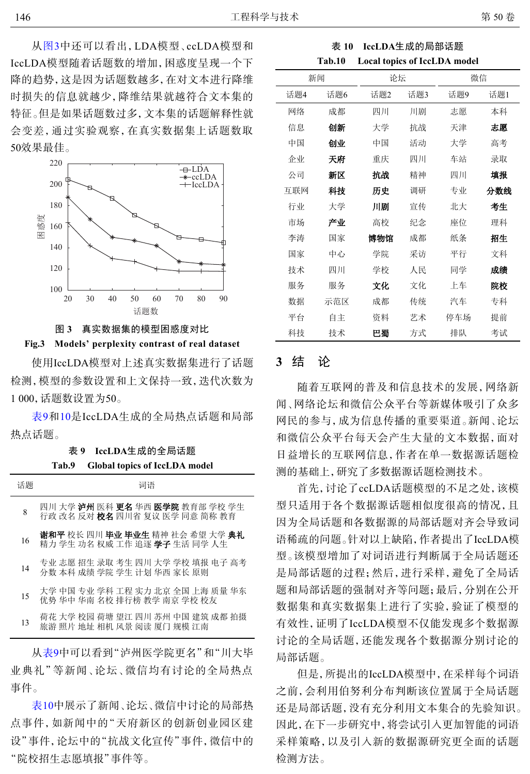从[图](#page-5-0)[3](#page-5-0)中还可以看出,LDA模型、ccLDA模型和 IccLDA模型随着话题数的增加,困惑度呈现一个下 降的趋势,这是因为话题数越多,在对文本进行降维 时损失的信息就越少,降维结果就越符合文本集的 特征。但是如果话题数过多,文本集的话题解释性就 会变差,通过实验观察,在真实数据集上话题数取 50效果最佳。

<span id="page-5-0"></span>

图 **3** 真实数据集的模型困惑度对比

# **Fig.3 Models' perplexity contrast of real dataset**

使用IccLDA模型对上述真实数据集进行了话题 检测,模型的参数设置和上文保持一致,迭代次数为 1 000,话题数设置为50。

表9和10是IccLDA生成的全局热点话题和局部 热点话题。

表 **9 IccLDA**生成的全局话题

| Tab.9 | <b>Global topics of IccLDA model</b> |
|-------|--------------------------------------|
|       |                                      |

| 话题 | 词语                                                                                     |
|----|----------------------------------------------------------------------------------------|
| 8  | 四川 大学 <b>泸州</b> 医科 <b>更名</b> 华西 <b>医学院</b> 教育部 学校 学生<br>行政 改名 反对 校名 四川省 复议 医学 同意 简称 教育 |
| 16 | 谢和平 校长 四川 毕业 毕业生 精神 社会 希望 大学 典礼<br>精力 学生 功名 权威 工作 追逐 <b>学子</b> 生活 同学 人生                |
| 14 | 专业 志愿 招生 录取 考生 四川 大学 学校 填报 电子 高考<br>分数 本科 成绩 学院 学生 计划 华西 家长 原则                         |
| 15 | 大学 中国 专业 学科 工程 实力 北京 全国 上海 质量 华东<br>优势 华中 华南 名校 排行榜 教学 南京 学校 校友                        |
| 13 | 荷花 大学 校园 荷塘 望江 四川 苏州 中国 建筑 成都 拍摄<br>旅游 照片 地址 相机 风景 阅读 厦门 规模 江南                         |

从表9中可以看到"泸州医学院更名"和"川大毕 业典礼"等新闻、论坛、微信均有讨论的全局热点 事件。

表10中展示了新闻、论坛、微信中讨论的局部热 点事件,如新闻中的"天府新区的创新创业园区建 设"事件,论坛中的"抗战文化宣传"事件,微信中的 "院校招生志愿填报"事件等。

表 **10 IccLDA**生成的局部话题 **Tab.10 Local topics of IccLDA model**

| 新闻  |     | 论坛  |     | 微信  |     |  |
|-----|-----|-----|-----|-----|-----|--|
| 话题4 | 话题6 | 话题2 | 话题3 | 话题9 | 话题1 |  |
| 网络  | 成都  | 四川  | 川剧  | 志愿  | 本科  |  |
| 信息  | 创新  | 大学  | 抗战  | 天津  | 志愿  |  |
| 中国  | 创业  | 中国  | 活动  | 大学  | 高考  |  |
| 企业  | 天府  | 重庆  | 四川  | 车站  | 录取  |  |
| 公司  | 新区  | 抗战  | 精神  | 四川  | 填报  |  |
| 互联网 | 科技  | 历史  | 调研  | 专业  | 分数线 |  |
| 行业  | 大学  | 川剧  | 宣传  | 北大  | 考生  |  |
| 市场  | 产业  | 高校  | 纪念  | 座位  | 理科  |  |
| 李涛  | 国家  | 博物馆 | 成都  | 纸条  | 招生  |  |
| 国家  | 中心  | 学院  | 采访  | 平行  | 文科  |  |
| 技术  | 四川  | 学校  | 人民  | 同学  | 成绩  |  |
| 服务  | 服务  | 文化  | 文化  | 上车  | 院校  |  |
| 数据  | 示范区 | 成都  | 传统  | 汽车  | 专科  |  |
| 平台  | 自主  | 资料  | 艺术  | 停车场 | 提前  |  |
| 科技  | 技术  | 巴蜀  | 方式  | 排队  | 考试  |  |

# **3** 结 论

随着互联网的普及和信息技术的发展,网络新 闻、网络论坛和微信公众平台等新媒体吸引了众多 网民的参与,成为信息传播的重要渠道。新闻、论坛 和微信公众平台每天会产生大量的文本数据,面对 日益增长的互联网信息,作者在单一数据源话题检 测的基础上,研究了多数据源话题检测技术。

首先,讨论了ccLDA话题模型的不足之处,该模 型只适用于各个数据源话题相似度很高的情况,且 因为全局话题和各数据源的局部话题对齐会导致词 语稀疏的问题。针对以上缺陷,作者提出了IccLDA模 型。该模型增加了对词语进行判断属于全局话题还 是局部话题的过程;然后,进行采样,避免了全局话 题和局部话题的强制对齐等问题;最后,分别在公开 数据集和真实数据集上进行了实验,验证了模型的 有效性,证明了IccLDA模型不仅能发现多个数据源 讨论的全局话题,还能发现各个数据源分别讨论的 局部话题。

但是,所提出的IccLDA模型中,在采样每个词语 之前,会利用伯努利分布判断该位置属于全局话题 还是局部话题,没有充分利用文本集合的先验知识。 因此,在下一步研究中,将尝试引入更加智能的词语 采样策略,以及引入新的数据源研究更全面的话题 检测方法。